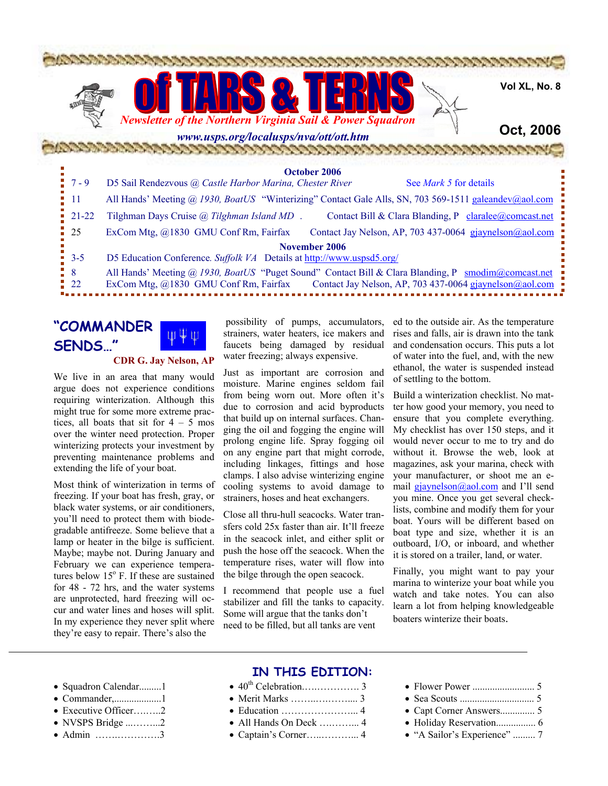|                                                                                                                             | Vol XL, No. 8                                                                                                                                    |  |
|-----------------------------------------------------------------------------------------------------------------------------|--------------------------------------------------------------------------------------------------------------------------------------------------|--|
| <b>Newsletter of the Northern Virginia Sail &amp; Power Squadron</b><br>Oct, 2006<br>www.usps.org/localusps/nva/ott/ott.htm |                                                                                                                                                  |  |
|                                                                                                                             | October 2006                                                                                                                                     |  |
| 7 - 9                                                                                                                       | D5 Sail Rendezvous @ Castle Harbor Marina, Chester River<br>See <i>Mark 5</i> for details                                                        |  |
| П                                                                                                                           | All Hands' Meeting @ 1930, BoatUS "Winterizing" Contact Gale Alls, SN, 703 569-1511 galeandev@aol.com                                            |  |
| $21 - 22$                                                                                                                   | Tilghman Days Cruise @ Tilghman Island MD.<br>Contact Bill & Clara Blanding, P claralee@comcast.net                                              |  |
| 25                                                                                                                          | ExCom Mtg, @1830 GMU Conf Rm, Fairfax<br>Contact Jay Nelson, AP, 703 437-0064 $\frac{gjaynelson(\partial aol.com}{gjawnelson(\partial aol.com})$ |  |
|                                                                                                                             | November 2006                                                                                                                                    |  |
|                                                                                                                             |                                                                                                                                                  |  |
| $3 - 5$                                                                                                                     | D5 Education Conference. Suffolk VA Details at http://www.uspsd5.org/                                                                            |  |
|                                                                                                                             | All Hands' Meeting @ 1930, BoatUS "Puget Sound" Contact Bill & Clara Blanding, P smodim@comcast.net                                              |  |

# **"COMMANDER SENDS…"**

#### **CDR G. Jay Nelson, AP**

We live in an area that many would argue does not experience conditions requiring winterization. Although this might true for some more extreme practices, all boats that sit for  $4 - 5$  mos over the winter need protection. Proper winterizing protects your investment by preventing maintenance problems and extending the life of your boat.

Most think of winterization in terms of freezing. If your boat has fresh, gray, or black water systems, or air conditioners, you'll need to protect them with biodegradable antifreeze. Some believe that a lamp or heater in the bilge is sufficient. Maybe; maybe not. During January and February we can experience temperatures below  $15^{\circ}$  F. If these are sustained for 48 - 72 hrs, and the water systems are unprotected, hard freezing will occur and water lines and hoses will split. In my experience they never split where they're easy to repair. There's also the

possibility of pumps, accumulators, strainers, water heaters, ice makers and faucets being damaged by residual water freezing; always expensive.

Just as important are corrosion and moisture. Marine engines seldom fail from being worn out. More often it's due to corrosion and acid byproducts that build up on internal surfaces. Changing the oil and fogging the engine will prolong engine life. Spray fogging oil on any engine part that might corrode, including linkages, fittings and hose clamps. I also advise winterizing engine cooling systems to avoid damage to strainers, hoses and heat exchangers.

Close all thru-hull seacocks. Water transfers cold 25x faster than air. It'll freeze in the seacock inlet, and either split or push the hose off the seacock. When the temperature rises, water will flow into the bilge through the open seacock.

I recommend that people use a fuel stabilizer and fill the tanks to capacity. Some will argue that the tanks don't need to be filled, but all tanks are vent

ed to the outside air. As the temperature rises and falls, air is drawn into the tank and condensation occurs. This puts a lot of water into the fuel, and, with the new ethanol, the water is suspended instead of settling to the bottom.

Build a winterization checklist. No matter how good your memory, you need to ensure that you complete everything. My checklist has over 150 steps, and it would never occur to me to try and do without it. Browse the web, look at magazines, ask your marina, check with your manufacturer, or shoot me an email [gjaynelson@aol.com](mailto:gjaynelson@aol.com) and I'll send you mine. Once you get several checklists, combine and modify them for your boat. Yours will be different based on boat type and size, whether it is an outboard, I/O, or inboard, and whether it is stored on a trailer, land, or water.

Finally, you might want to pay your marina to winterize your boat while you watch and take notes. You can also learn a lot from helping knowledgeable boaters winterize their boats.

- Squadron Calendar.........1
- Commander,...................1
- Executive Officer….…..2
- NVSPS Bridge ...............2
- Admin …….………….3

### **IN THIS EDITION:**

- 40th Celebration.….…………. 3
- Merit Marks ……..….…….... 3
- Education  $\dots \dots \dots \dots \dots$ .
- All Hands On Deck ….……... 4
- Captain's Corner…..………... 4
- Flower Power ......................... 5
- Sea Scouts .............................. 5
- Capt Corner Answers.............. 5
- Holiday Reservation................ 6
- "A Sailor's Experience" ......... 7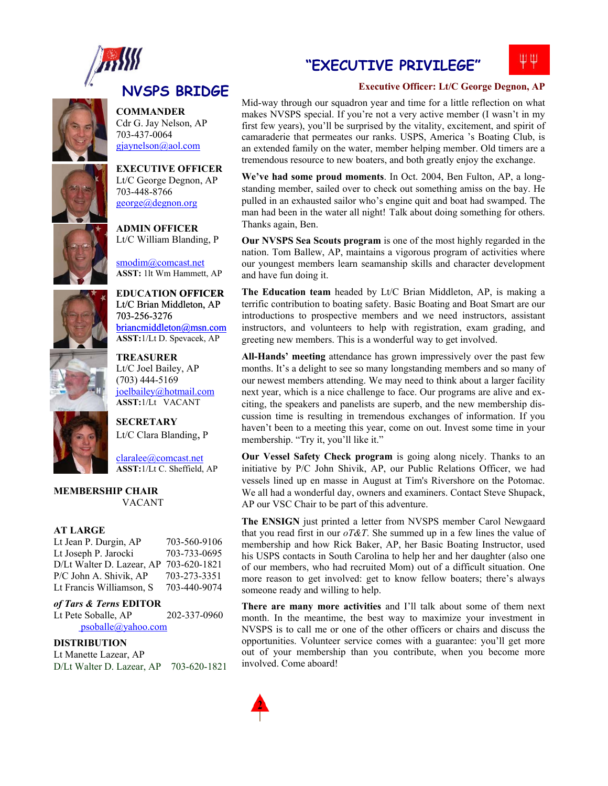

# **NVSPS BRIDGE**

**COMMANDER** Cdr G. Jay Nelson, AP 703-437-0064 [gjaynelson@aol.com](mailto:gjaynelson@aol.com)



Lt/C George Degnon, AP 703-448-8766 george@degnon.org

**EXECUTIVE OFFICER**

**ADMIN OFFICER**  Lt/C William Blanding, P

smodim@comcast.net ASST: 1lt Wm Hammett, AP

**ASST:** 1lt Wm Hammett, AP<br>**EDUCATION OFFICER** Lt/C Brian Middleton, AP briancmiddleton@msn.com 703-256-3276 ASST:1/Lt D. Spevacek, AP

Lt/C Joel Bailey, AP  $(703)$  444-5169 joelbailey@hotmail.com **TREASURER ASST:**1/Lt VACANT



**SECRETARY** Lt/C Clara Blanding, P

claralee@comcast.net ASST:1/Lt C. Sheffield, AP

#### **MEMBERSHIP CHAIR** VACANT

### **AT LARGE**

| Lt Jean P. Durgin, AP     | 703-560-9106 |
|---------------------------|--------------|
| Lt Joseph P. Jarocki      | 703-733-0695 |
| D/Lt Walter D. Lazear, AP | 703-620-1821 |
| P/C John A. Shivik, AP    | 703-273-3351 |
| Lt Francis Williamson, S  | 703-440-9074 |

#### *of Tars & Terns* **EDITOR**

202-337-0960 Lt Pete Soballe, AP psoballe@yahoo.com

### **DISTR[IBUTION](mailto:psoballe@yahoo.com)**

Lt Manette Lazear, AP D/Lt Walter D. Lazear, AP 703-620-1821

### **"EXECUTIVE PRIVILEGE"**



### **Executive Officer: Lt/C George Degnon, AP**

Mid-way through our squadron year and time for a little reflection on what makes NVSPS special. If you're not a very active member (I wasn't in my first few years), you'll be surprised by the vitality, excitement, and spirit of camaraderie that permeates our ranks. USPS, America 's Boating Club, is an extended family on the water, member helping member. Old timers are a tremendous resource to new boaters, and both greatly enjoy the exchange.

**We've had some proud moments**. In Oct. 2004, Ben Fulton, AP, a longstanding member, sailed over to check out something amiss on the bay. He pulled in an exhausted sailor who's engine quit and boat had swamped. The man had been in the water all night! Talk about doing something for others. Thanks again, Ben.

**Our NVSPS Sea Scouts program** is one of the most highly regarded in the nation. Tom Ballew, AP, maintains a vigorous program of activities where our youngest members learn seamanship skills and character development and have fun doing it.

**The Education team** headed by Lt/C Brian Middleton, AP, is making a terrific contribution to boating safety. Basic Boating and Boat Smart are our introductions to prospective members and we need instructors, assistant instructors, and volunteers to help with registration, exam grading, and greeting new members. This is a wonderful way to get involved.

**All-Hands' meeting** attendance has grown impressively over the past few months. It's a delight to see so many longstanding members and so many of our newest members attending. We may need to think about a larger facility next year, which is a nice challenge to face. Our programs are alive and exciting, the speakers and panelists are superb, and the new membership discussion time is resulting in tremendous exchanges of information. If you haven't been to a meeting this year, come on out. Invest some time in your membership. "Try it, you'll like it."

**Our Vessel Safety Check program** is going along nicely. Thanks to an initiative by P/C John Shivik, AP, our Public Relations Officer, we had vessels lined up en masse in August at Tim's Rivershore on the Potomac. We all had a wonderful day, owners and examiners. Contact Steve Shupack, AP our VSC Chair to be part of this adventure.

**The ENSIGN** just printed a letter from NVSPS member Carol Newgaard that you read first in our *oT&T*. She summed up in a few lines the value of membership and how Rick Baker, AP, her Basic Boating Instructor, used his USPS contacts in South Carolina to help her and her daughter (also one of our members, who had recruited Mom) out of a difficult situation. One more reason to get involved: get to know fellow boaters; there's always someone ready and willing to help.

**There are many more activities** and I'll talk about some of them next month. In the meantime, the best way to maximize your investment in NVSPS is to call me or one of the other officers or chairs and discuss the opportunities. Volunteer service comes with a guarantee: you'll get more out of your membership than you contribute, when you become more involved. Come aboard!

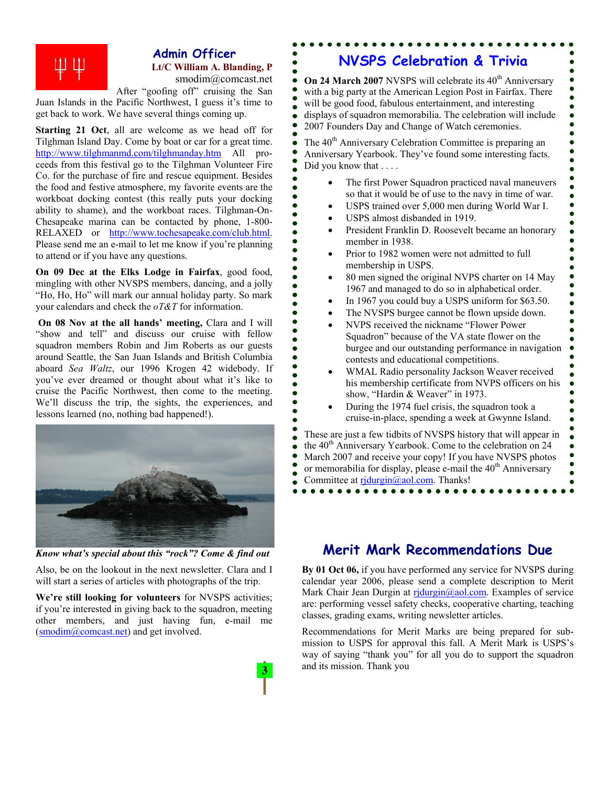

# **Lt/C William A. Blanding, P**  smodim@comcast.net

 $\bullet$ 

 $\bullet$  $\bullet$ 

 $\bullet$  $\bullet$ 

> $\bullet$  $\bullet$

 $\bullet$  $\bullet$  $\bullet$ ó  $\bullet$  $\bullet$  $\bullet$  $\bullet$  $\bullet$  $\bullet$  $\bullet$  $\bullet$  $\bullet$  $\bullet$ 

 $\bullet$ 

After "goofing off" cruising the San

Juan Islands in the Pacific Northwest, I guess it's time to get back to work. We have several things coming up.

**Starting 21 Oct**, all are welcome as we head off for Tilghman Island Day. Come by boat or car for a great time. <http://www.tilghmanmd.com/tilghmanday.htm>All proceeds from this festival go to the Tilghman Volunteer Fire Co. for the purchase of fire and rescue equipment. Besides the food and festive atmosphere, my favorite events are the workboat docking contest (this really puts your docking ability to shame), and the workboat races. Tilghman-On-Chesapeake marina can be contacted by phone, 1-800- RELAXED or [http://www.tochesapeake.com/club.html.](http://www.tochesapeake.com/club.html) Please send me an e-mail to let me know if you're planning to attend or if you have any questions.

**On 09 Dec at the Elks Lodge in Fairfax**, good food, mingling with other NVSPS members, dancing, and a jolly "Ho, Ho, Ho" will mark our annual holiday party. So mark your calendars and check the *oT&T* for information.

**On 08 Nov at the all hands' meeting,** Clara and I will "show and tell" and discuss our cruise with fellow squadron members Robin and Jim Roberts as our guests around Seattle, the San Juan Islands and British Columbia aboard *Sea Waltz*, our 1996 Krogen 42 widebody. If you've ever dreamed or thought about what it's like to cruise the Pacific Northwest, then come to the meeting. We'll discuss the trip, the sights, the experiences, and lessons learned (no, nothing bad happened!).



Also, be on the lookout in the next newsletter. Clara and I will start a series of articles with photographs of the trip.

**We're still looking for volunteers** for NVSPS activities; if you're interested in giving back to the squadron, meeting other members, and just having fun, e-mail me [\(smodim@comcast.net](mailto:smodim@comcast.net)) and get involved.



# **Admin Officer NVSPS Celebration & Trivia**

**On 24 March 2007** NVSPS will celebrate its  $40<sup>th</sup>$  Anniversary with a big party at the American Legion Post in Fairfax. There will be good food, fabulous entertainment, and interesting displays of squadron memorabilia. The celebration will include 2007 Founders Day and Change of Watch ceremonies.

The 40<sup>th</sup> Anniversary Celebration Committee is preparing an Anniversary Yearbook. They've found some interesting facts. Did you know that . . . .

• The first Power Squadron practiced naval maneuvers so that it would be of use to the navy in time of war.

 $\bullet$  $\bullet$  $\bullet$ 

 $\bullet$  $\bullet$  $\bullet$  $\bullet$  $\bullet$  $\bullet$ 

 $\bullet$ 

 $\bullet$ 

 $\bullet$ 

- USPS trained over 5,000 men during World War I.
- USPS almost disbanded in 1919.
- President Franklin D. Roosevelt became an honorary member in 1938.
- Prior to 1982 women were not admitted to full membership in USPS.
- 80 men signed the original NVPS charter on 14 May 1967 and managed to do so in alphabetical order.
- In 1967 you could buy a USPS uniform for \$63.50.
- The NVSPS burgee cannot be flown upside down.
- NVPS received the nickname "Flower Power Squadron" because of the VA state flower on the burgee and our outstanding performance in navigation contests and educational competitions.
- WMAL Radio personality Jackson Weaver received his membership certificate from NVPS officers on his show, "Hardin & Weaver" in 1973.
- During the 1974 fuel crisis, the squadron took a cruise-in-place, spending a week at Gwynne Island.

These are just a few tidbits of NVSPS history that will appear in the 40<sup>th</sup> Anniversary Yearbook. Come to the celebration on 24 March 2007 and receive your copy! If you have NVSPS photos or memorabilia for display, please e-mail the  $40<sup>th</sup>$  Anniversary Committee at ridurgin@aol.com. Thanks!<br>  $\bullet \bullet \bullet \bullet \bullet \bullet \bullet \bullet \bullet \bullet \bullet \bullet \bullet \bullet \bullet \bullet \bullet$ 

## *Know what's special about this "rock"? Come & find out* **Merit Mark Recommendations Due**

**By 01 Oct 06,** if you have performed any service for NVSPS during calendar year 2006, please send a complete description to Merit Mark Chair Jean Durgin at  $ridurgin@aol.com$ . Examples of service are: performing vessel safety checks, cooperative charting, teaching classes, grading exams, writing newsletter articles.

Recommendations for Merit Marks are being prepared for submission to USPS for approval this fall. A Merit Mark is USPS's way of saying "thank you" for all you do to support the squadron and its mission. Thank you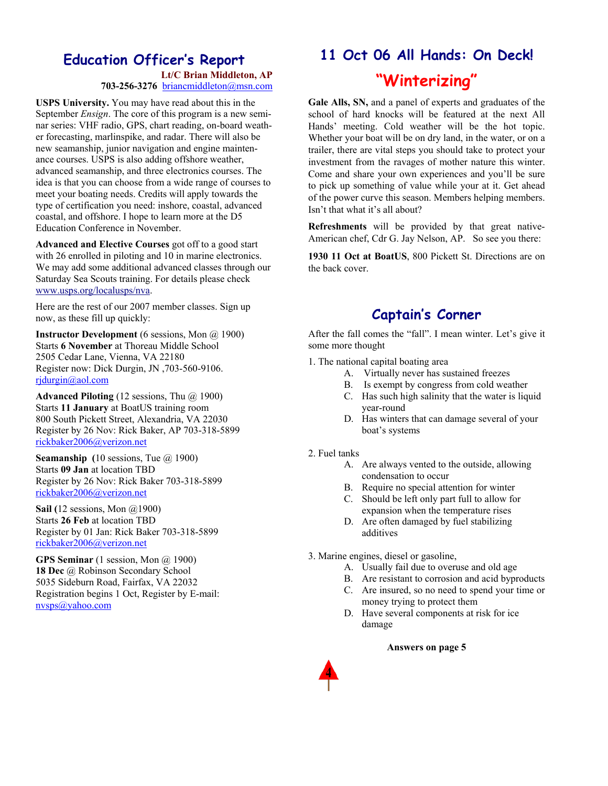# **Education Officer's Report**

**Lt/C Brian Middleton, AP** 

**703-256-3276** briancmiddleton@msn.com

**USPS University.** You may have read about this in the September *Ensign*. The core of this program is a new seminar series: VHF radio, GPS, chart reading, on-board weather forecasting, marlinspike, and radar. There will also be new seamanship, junior navigation and engine maintenance courses. USPS is also adding offshore weather, advanced seamanship, and three electronics courses. The idea is that you can choose from a wide range of courses to meet your boating needs. Credits will apply towards the type of certification you need: inshore, coastal, advanced coastal, and offshore. I hope to learn more at the D5 Education Conference in November.

**Advanced and Elective Courses** got off to a good start with 26 enrolled in piloting and 10 in marine electronics. We may add some additional advanced classes through our Saturday Sea Scouts training. For details please check www.usps.org/localusps/nva.

Here are the rest of our 2007 member classes. Sign up now, as these fill up quickly:

**Instructor Development** (6 sessions, Mon @ 1900) Starts **6 November** at Thoreau Middle School 2505 Cedar Lane, Vienna, VA 22180 Register now: Dick Durgin, JN ,703-560-9106. [rjdurgin@aol.com](mailto:rjdurgin@aol.com)

**Advanced Piloting** (12 sessions, Thu @ 1900) Starts **11 January** at BoatUS training room 800 South Pickett Street, Alexandria, VA 22030 Register by 26 Nov: Rick Baker, AP 703-318-5899 [rickbaker2006@verizon.net](http://www.usps.org/localusps/nva/educ/rickbaker2006@verizon.net)

**Seamanship** (10 sessions, Tue @ 1900) Starts **09 Jan** at location TBD Register by 26 Nov: Rick Baker 703-318-5899 [rickbaker2006@verizon.net](http://www.usps.org/localusps/nva/educ/rickbaker2006@verizon.net)

**Sail (**12 sessions, Mon @1900) Starts **26 Feb** at location TBD Register by 01 Jan: Rick Baker 703-318-5899 [rickbaker2006@verizon.net](http://www.usps.org/localusps/nva/educ/rickbaker2006@verizon.net)

**GPS Seminar** (1 session, Mon @ 1900) **18 Dec** @ Robinson Secondary School 5035 Sideburn Road, Fairfax, VA 22032 Registration begins 1 Oct, Register by E-mail: [nvsps@yahoo.com](http://us.f613.mail.yahoo.com/ym/Compose?To=nvsps@yahoo.com)

# **11 Oct 06 All Hands: On Deck!**

# **"Winterizing"**

**Gale Alls, SN,** and a panel of experts and graduates of the school of hard knocks will be featured at the next All Hands' meeting. Cold weather will be the hot topic. Whether your boat will be on dry land, in the water, or on a trailer, there are vital steps you should take to protect your investment from the ravages of mother nature this winter. Come and share your own experiences and you'll be sure to pick up something of value while your at it. Get ahead of the power curve this season. Members helping members. Isn't that what it's all about?

**Refreshments** will be provided by that great native-American chef, Cdr G. Jay Nelson, AP. So see you there:

**1930 11 Oct at BoatUS**, 800 Pickett St. Directions are on the back cover.

## **Captain's Corner**

After the fall comes the "fall". I mean winter. Let's give it some more thought

1. The national capital boating area

- A. Virtually never has sustained freezes
- B. Is exempt by congress from cold weather
- C. Has such high salinity that the water is liquid year-round
- D. Has winters that can damage several of your boat's systems
- 2. Fuel tanks
	- A. Are always vented to the outside, allowing condensation to occur
	- B. Require no special attention for winter
	- C. Should be left only part full to allow for expansion when the temperature rises
	- D. Are often damaged by fuel stabilizing additives
- 3. Marine engines, diesel or gasoline,
	- A. Usually fail due to overuse and old age
	- B. Are resistant to corrosion and acid byproducts
	- C. Are insured, so no need to spend your time or money trying to protect them
	- D. Have several components at risk for ice damage

### **Answers on page 5**

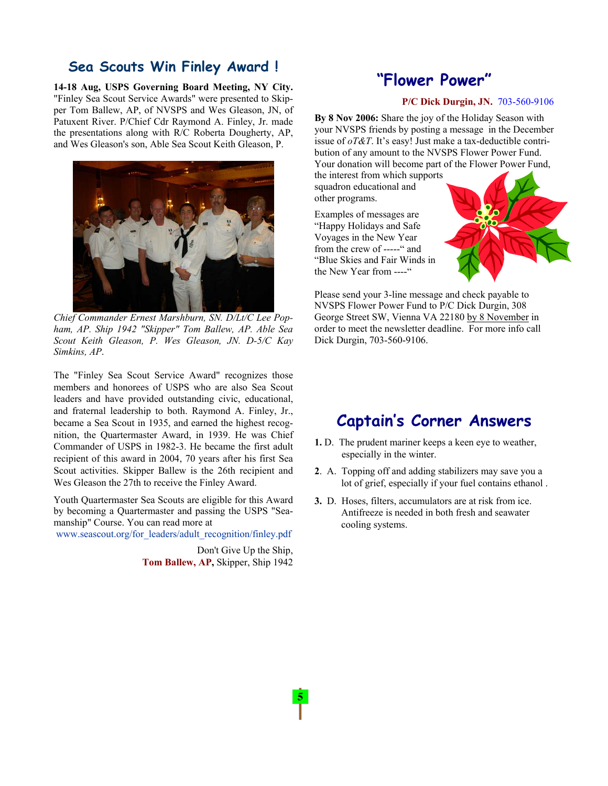### **Sea Scouts Win Finley Award !**

**14-18 Aug, USPS Governing Board Meeting, NY City.** "Finley Sea Scout Service Awards" were presented to Skipper Tom Ballew, AP, of NVSPS and Wes Gleason, JN, of Patuxent River. P/Chief Cdr Raymond A. Finley, Jr. made the presentations along with R/C Roberta Dougherty, AP, and Wes Gleason's son, Able Sea Scout Keith Gleason, P.



*Chief Commander Ernest Marshburn, SN. D/Lt/C Lee Popham, AP. Ship 1942 "Skipper" Tom Ballew, AP. Able Sea Scout Keith Gleason, P. Wes Gleason, JN. D-5/C Kay Simkins, AP*.

The "Finley Sea Scout Service Award" recognizes those members and honorees of USPS who are also Sea Scout leaders and have provided outstanding civic, educational, and fraternal leadership to both. Raymond A. Finley, Jr., became a Sea Scout in 1935, and earned the highest recognition, the Quartermaster Award, in 1939. He was Chief Commander of USPS in 1982-3. He became the first adult recipient of this award in 2004, 70 years after his first Sea Scout activities. Skipper Ballew is the 26th recipient and Wes Gleason the 27th to receive the Finley Award.

Youth Quartermaster Sea Scouts are eligible for this Award by becoming a Quartermaster and passing the USPS "Seamanship" Course. You can read more at

[www.seascout.org/for\\_leaders/adult\\_recognition/finley.pdf](http://www.seascout.org/for_leaders/adult_recognition/finley.pdf)

Don't Give Up the Ship, **Tom Ballew, AP,** Skipper, Ship 1942

### **"Flower Power"**

#### **P/C Dick Durgin, JN.** 703-560-9106

**By 8 Nov 2006:** Share the joy of the Holiday Season with your NVSPS friends by posting a message in the December issue of *oT&T*. It's easy! Just make a tax-deductible contribution of any amount to the NVSPS Flower Power Fund. Your donation will become part of the Flower Power Fund,

the interest from which s upports squadron education al and other programs.

Examples of messages are "Blue Skies and Fair Winds in "Happy Holidays and Safe Voyages in the New Year from the crew of -----" and the New Year from ----"



Please send your 3-line message and check payable to NVSPS Flower Power Fund to P/C Dick Durgin, 308 George Street SW, Vienna VA 22180 by 8 November in order to meet the newsletter deadline. For more info call Dick Durgin, 703-560-9106.

# **Captain's Corner Answers**

- **1.** D. The prudent mariner keeps a keen eye to weather, especially in the winter.
- 2. A. Topping off and adding stabilizers may save you a lot of grief, especially if your fuel contains ethanol .
- **3.** D. Hoses, filters, accumulators are at risk from ice. Antifreeze is needed in both fresh and seawater cooling systems.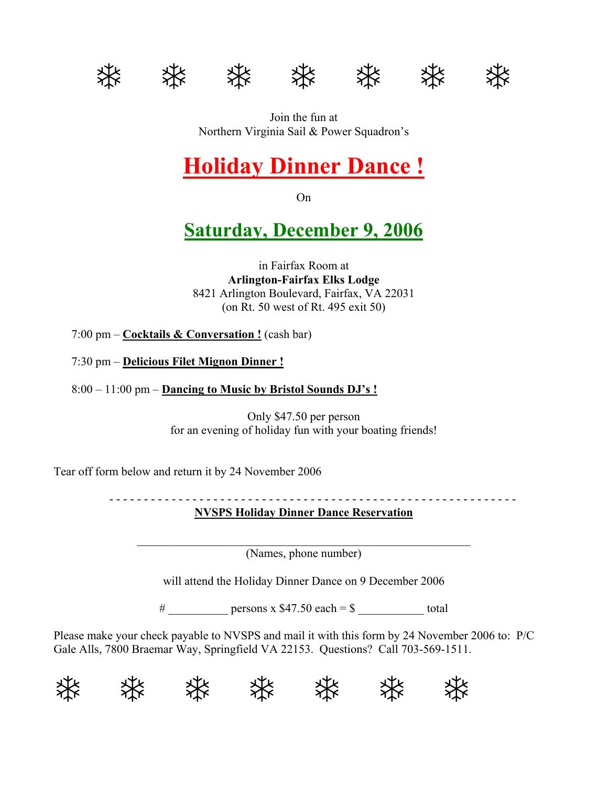









Join the fun at Northern Virginia Sail & Power Squadron's

# **Holiday Dinner Dance !**

On

# **Saturday, December 9, 2006**

in Fairfax Room at **Arlington-Fairfax Elks Lodge**  8421 Arlington Boulevard, Fairfax, VA 22031 (on Rt. 50 west of Rt. 495 exit 50)

7:00 pm – **Cocktails & Conversation !** (cash bar)

7:30 pm – **Delicious Filet Mignon Dinner !**

8:00 – 11:00 pm – **Dancing to Music by Bristol Sounds DJ's !**

Only \$47.50 per person for an evening of holiday fun with your boating friends!

Tear off form below and return it by 24 November 2006

- - - - - - - - - - - - - - - - - - - - - - - - - - - - - - - - - - - - - - - - - - - - - - - - - - - - - - - - - - - **NVSPS Holiday Dinner Dance Reservation**

 $\mathcal{L}_\text{max}$  , and the contribution of the contribution of the contribution of the contribution of the contribution of the contribution of the contribution of the contribution of the contribution of the contribution of t (Names, phone number)

will attend the Holiday Dinner Dance on 9 December 2006

#  $\qquad \qquad$  persons x \$47.50 each = \$  $\qquad \qquad$  total

Please make your check payable to NVSPS and mail it with this form by 24 November 2006 to: P/C Gale Alls, 7800 Braemar Way, Springfield VA 22153. Questions? Call 703-569-1511.









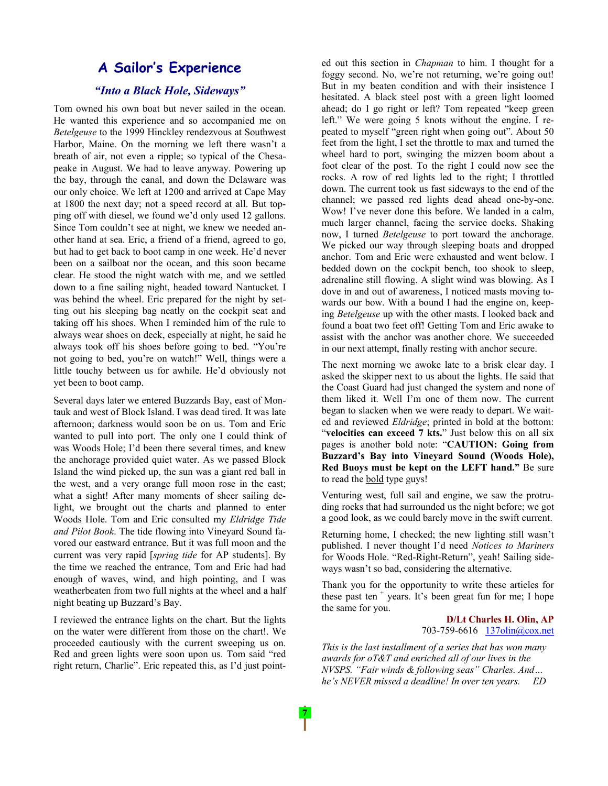### **A Sailor's Experience**

### *"Into a Black Hole, Sideways"*

Tom owned his own boat but never sailed in the ocean. He wanted this experience and so accompanied me on *Betelgeuse* to the 1999 Hinckley rendezvous at Southwest Harbor, Maine. On the morning we left there wasn't a breath of air, not even a ripple; so typical of the Chesapeake in August. We had to leave anyway. Powering up the bay, through the canal, and down the Delaware was our only choice. We left at 1200 and arrived at Cape May at 1800 the next day; not a speed record at all. But topping off with diesel, we found we'd only used 12 gallons. Since Tom couldn't see at night, we knew we needed another hand at sea. Eric, a friend of a friend, agreed to go, but had to get back to boot camp in one week. He'd never been on a sailboat nor the ocean, and this soon became clear. He stood the night watch with me, and we settled down to a fine sailing night, headed toward Nantucket. I was behind the wheel. Eric prepared for the night by setting out his sleeping bag neatly on the cockpit seat and taking off his shoes. When I reminded him of the rule to always wear shoes on deck, especially at night, he said he always took off his shoes before going to bed. "You're not going to bed, you're on watch!" Well, things were a little touchy between us for awhile. He'd obviously not yet been to boot camp.

Several days later we entered Buzzards Bay, east of Montauk and west of Block Island. I was dead tired. It was late afternoon; darkness would soon be on us. Tom and Eric wanted to pull into port. The only one I could think of was Woods Hole; I'd been there several times, and knew the anchorage provided quiet water. As we passed Block Island the wind picked up, the sun was a giant red ball in the west, and a very orange full moon rose in the east; what a sight! After many moments of sheer sailing delight, we brought out the charts and planned to enter Woods Hole. Tom and Eric consulted my *Eldridge Tide and Pilot Book*. The tide flowing into Vineyard Sound favored our eastward entrance. But it was full moon and the current was very rapid [*spring tide* for AP students]. By the time we reached the entrance, Tom and Eric had had enough of waves, wind, and high pointing, and I was weatherbeaten from two full nights at the wheel and a half night beating up Buzzard's Bay.

I reviewed the entrance lights on the chart. But the lights on the water were different from those on the chart!. We proceeded cautiously with the current sweeping us on. Red and green lights were soon upon us. Tom said "red right return, Charlie". Eric repeated this, as I'd just point-

ed out this section in *Chapman* to him. I thought for a foggy second. No, we're not returning, we're going out! But in my beaten condition and with their insistence I hesitated. A black steel post with a green light loomed ahead; do I go right or left? Tom repeated "keep green left." We were going 5 knots without the engine. I repeated to myself "green right when going out". About 50 feet from the light, I set the throttle to max and turned the wheel hard to port, swinging the mizzen boom about a foot clear of the post. To the right I could now see the rocks. A row of red lights led to the right; I throttled down. The current took us fast sideways to the end of the channel; we passed red lights dead ahead one-by-one. Wow! I've never done this before. We landed in a calm, much larger channel, facing the service docks. Shaking now, I turned *Betelgeuse* to port toward the anchorage. We picked our way through sleeping boats and dropped anchor. Tom and Eric were exhausted and went below. I bedded down on the cockpit bench, too shook to sleep, adrenaline still flowing. A slight wind was blowing. As I dove in and out of awareness, I noticed masts moving towards our bow. With a bound I had the engine on, keeping *Betelgeuse* up with the other masts. I looked back and found a boat two feet off! Getting Tom and Eric awake to assist with the anchor was another chore. We succeeded in our next attempt, finally resting with anchor secure.

The next morning we awoke late to a brisk clear day. I asked the skipper next to us about the lights. He said that the Coast Guard had just changed the system and none of them liked it. Well I'm one of them now. The current began to slacken when we were ready to depart. We waited and reviewed *Eldridge*; printed in bold at the bottom: "**velocities can exceed 7 kts.**" Just below this on all six pages is another bold note: "**CAUTION: Going from Buzzard's Bay into Vineyard Sound (Woods Hole), Red Buoys must be kept on the LEFT hand."** Be sure to read the bold type guys!

Venturing west, full sail and engine, we saw the protruding rocks that had surrounded us the night before; we got a good look, as we could barely move in the swift current.

Returning home, I checked; the new lighting still wasn't published. I never thought I'd need *Notices to Mariners* for Woods Hole. "Red-Right-Return", yeah! Sailing sideways wasn't so bad, considering the alternative.

Thank you for the opportunity to write these articles for these past ten  $<sup>+</sup>$  years. It's been great fun for me; I hope</sup> the same for you.

#### **D/Lt Charles H. Olin, AP**  703-759-6616 137olin@cox.net

*This is the last installment of a series that has won many awards for oT&T and enriched all of our lives in the NVSPS. "Fair winds & following seas" Charles. And… he's NEVER missed a deadline! In over ten years. ED*